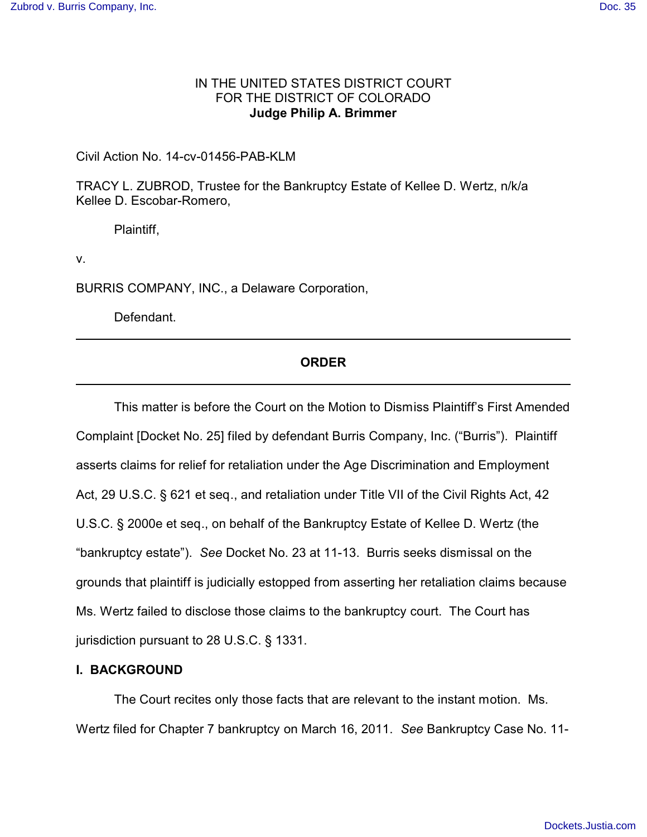## IN THE UNITED STATES DISTRICT COURT FOR THE DISTRICT OF COLORADO **Judge Philip A. Brimmer**

Civil Action No. 14-cv-01456-PAB-KLM

TRACY L. ZUBROD, Trustee for the Bankruptcy Estate of Kellee D. Wertz, n/k/a Kellee D. Escobar-Romero,

Plaintiff,

v.

BURRIS COMPANY, INC., a Delaware Corporation,

Defendant.

# **ORDER**

This matter is before the Court on the Motion to Dismiss Plaintiff's First Amended Complaint [Docket No. 25] filed by defendant Burris Company, Inc. ("Burris"). Plaintiff asserts claims for relief for retaliation under the Age Discrimination and Employment Act, 29 U.S.C. § 621 et seq., and retaliation under Title VII of the Civil Rights Act, 42 U.S.C. § 2000e et seq., on behalf of the Bankruptcy Estate of Kellee D. Wertz (the "bankruptcy estate"). *See* Docket No. 23 at 11-13. Burris seeks dismissal on the grounds that plaintiff is judicially estopped from asserting her retaliation claims because Ms. Wertz failed to disclose those claims to the bankruptcy court. The Court has jurisdiction pursuant to 28 U.S.C. § 1331.

## **I. BACKGROUND**

The Court recites only those facts that are relevant to the instant motion. Ms. Wertz filed for Chapter 7 bankruptcy on March 16, 2011. *See* Bankruptcy Case No. 11-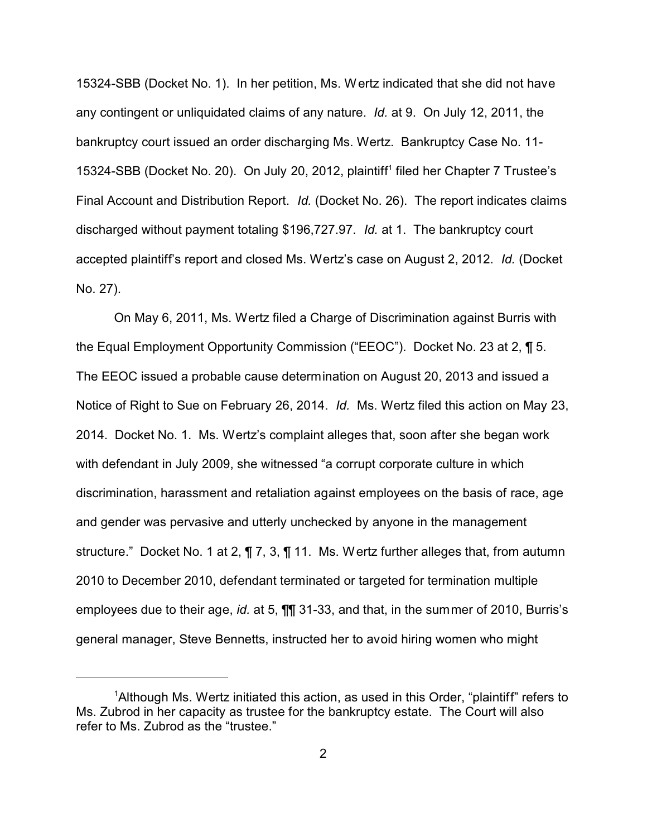15324-SBB (Docket No. 1). In her petition, Ms. Wertz indicated that she did not have any contingent or unliquidated claims of any nature. *Id.* at 9. On July 12, 2011, the bankruptcy court issued an order discharging Ms. Wertz. Bankruptcy Case No. 11- 15324-SBB (Docket No. 20). On July 20, 2012, plaintiff 1 filed her Chapter 7 Trustee's Final Account and Distribution Report. *Id.* (Docket No. 26). The report indicates claims discharged without payment totaling \$196,727.97. *Id.* at 1. The bankruptcy court accepted plaintiff's report and closed Ms. Wertz's case on August 2, 2012. *Id.* (Docket No. 27).

On May 6, 2011, Ms. Wertz filed a Charge of Discrimination against Burris with the Equal Employment Opportunity Commission ("EEOC"). Docket No. 23 at 2, ¶ 5. The EEOC issued a probable cause determination on August 20, 2013 and issued a Notice of Right to Sue on February 26, 2014. *Id.* Ms. Wertz filed this action on May 23, 2014. Docket No. 1. Ms. Wertz's complaint alleges that, soon after she began work with defendant in July 2009, she witnessed "a corrupt corporate culture in which discrimination, harassment and retaliation against employees on the basis of race, age and gender was pervasive and utterly unchecked by anyone in the management structure." Docket No. 1 at 2, ¶ 7, 3, ¶ 11. Ms. Wertz further alleges that, from autumn 2010 to December 2010, defendant terminated or targeted for termination multiple employees due to their age, *id.* at 5, ¶¶ 31-33, and that, in the summer of 2010, Burris's general manager, Steve Bennetts, instructed her to avoid hiring women who might

<sup>&</sup>lt;sup>1</sup>Although Ms. Wertz initiated this action, as used in this Order, "plaintiff" refers to Ms. Zubrod in her capacity as trustee for the bankruptcy estate. The Court will also refer to Ms. Zubrod as the "trustee."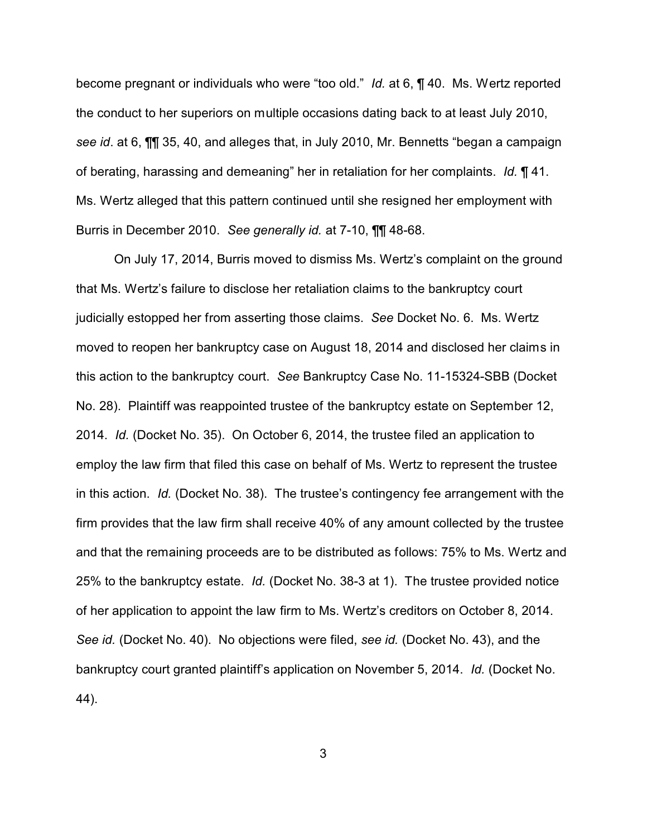become pregnant or individuals who were "too old." *Id.* at 6, ¶ 40. Ms. Wertz reported the conduct to her superiors on multiple occasions dating back to at least July 2010, *see id*. at 6, ¶¶ 35, 40, and alleges that, in July 2010, Mr. Bennetts "began a campaign of berating, harassing and demeaning" her in retaliation for her complaints. *Id.* ¶ 41. Ms. Wertz alleged that this pattern continued until she resigned her employment with Burris in December 2010. *See generally id.* at 7-10, ¶¶ 48-68.

On July 17, 2014, Burris moved to dismiss Ms. Wertz's complaint on the ground that Ms. Wertz's failure to disclose her retaliation claims to the bankruptcy court judicially estopped her from asserting those claims. *See* Docket No. 6. Ms. Wertz moved to reopen her bankruptcy case on August 18, 2014 and disclosed her claims in this action to the bankruptcy court. *See* Bankruptcy Case No. 11-15324-SBB (Docket No. 28). Plaintiff was reappointed trustee of the bankruptcy estate on September 12, 2014. *Id.* (Docket No. 35). On October 6, 2014, the trustee filed an application to employ the law firm that filed this case on behalf of Ms. Wertz to represent the trustee in this action. *Id.* (Docket No. 38). The trustee's contingency fee arrangement with the firm provides that the law firm shall receive 40% of any amount collected by the trustee and that the remaining proceeds are to be distributed as follows: 75% to Ms. Wertz and 25% to the bankruptcy estate. *Id.* (Docket No. 38-3 at 1). The trustee provided notice of her application to appoint the law firm to Ms. Wertz's creditors on October 8, 2014. *See id.* (Docket No. 40). No objections were filed, *see id.* (Docket No. 43), and the bankruptcy court granted plaintiff's application on November 5, 2014. *Id.* (Docket No. 44).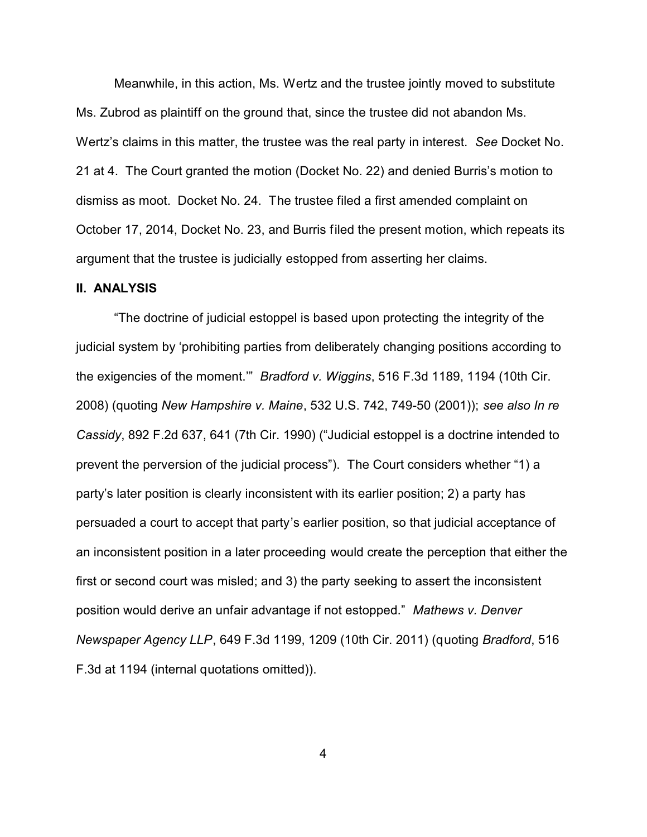Meanwhile, in this action, Ms. Wertz and the trustee jointly moved to substitute Ms. Zubrod as plaintiff on the ground that, since the trustee did not abandon Ms. Wertz's claims in this matter, the trustee was the real party in interest. *See* Docket No. 21 at 4. The Court granted the motion (Docket No. 22) and denied Burris's motion to dismiss as moot. Docket No. 24. The trustee filed a first amended complaint on October 17, 2014, Docket No. 23, and Burris filed the present motion, which repeats its argument that the trustee is judicially estopped from asserting her claims.

#### **II. ANALYSIS**

"The doctrine of judicial estoppel is based upon protecting the integrity of the judicial system by 'prohibiting parties from deliberately changing positions according to the exigencies of the moment.'" *Bradford v. Wiggins*, 516 F.3d 1189, 1194 (10th Cir. 2008) (quoting *New Hampshire v. Maine*, 532 U.S. 742, 749-50 (2001)); *see also In re Cassidy*, 892 F.2d 637, 641 (7th Cir. 1990) ("Judicial estoppel is a doctrine intended to prevent the perversion of the judicial process"). The Court considers whether "1) a party's later position is clearly inconsistent with its earlier position; 2) a party has persuaded a court to accept that party's earlier position, so that judicial acceptance of an inconsistent position in a later proceeding would create the perception that either the first or second court was misled; and 3) the party seeking to assert the inconsistent position would derive an unfair advantage if not estopped." *Mathews v. Denver Newspaper Agency LLP*, 649 F.3d 1199, 1209 (10th Cir. 2011) (quoting *Bradford*, 516 F.3d at 1194 (internal quotations omitted)).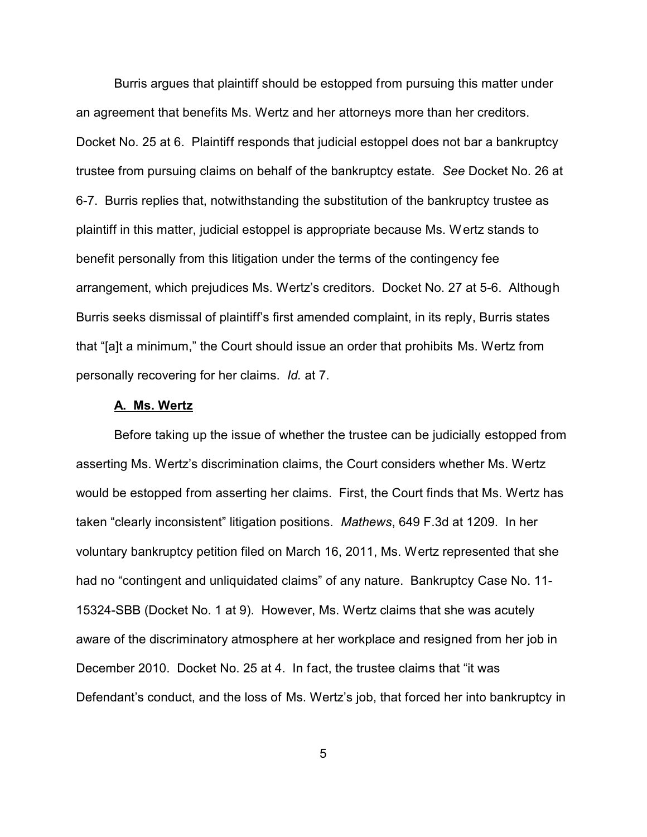Burris argues that plaintiff should be estopped from pursuing this matter under an agreement that benefits Ms. Wertz and her attorneys more than her creditors. Docket No. 25 at 6. Plaintiff responds that judicial estoppel does not bar a bankruptcy trustee from pursuing claims on behalf of the bankruptcy estate. *See* Docket No. 26 at 6-7. Burris replies that, notwithstanding the substitution of the bankruptcy trustee as plaintiff in this matter, judicial estoppel is appropriate because Ms. Wertz stands to benefit personally from this litigation under the terms of the contingency fee arrangement, which prejudices Ms. Wertz's creditors. Docket No. 27 at 5-6. Although Burris seeks dismissal of plaintiff's first amended complaint, in its reply, Burris states that "[a]t a minimum," the Court should issue an order that prohibits Ms. Wertz from personally recovering for her claims. *Id.* at 7.

### **A. Ms. Wertz**

Before taking up the issue of whether the trustee can be judicially estopped from asserting Ms. Wertz's discrimination claims, the Court considers whether Ms. Wertz would be estopped from asserting her claims. First, the Court finds that Ms. Wertz has taken "clearly inconsistent" litigation positions. *Mathews*, 649 F.3d at 1209. In her voluntary bankruptcy petition filed on March 16, 2011, Ms. Wertz represented that she had no "contingent and unliquidated claims" of any nature. Bankruptcy Case No. 11- 15324-SBB (Docket No. 1 at 9). However, Ms. Wertz claims that she was acutely aware of the discriminatory atmosphere at her workplace and resigned from her job in December 2010. Docket No. 25 at 4. In fact, the trustee claims that "it was Defendant's conduct, and the loss of Ms. Wertz's job, that forced her into bankruptcy in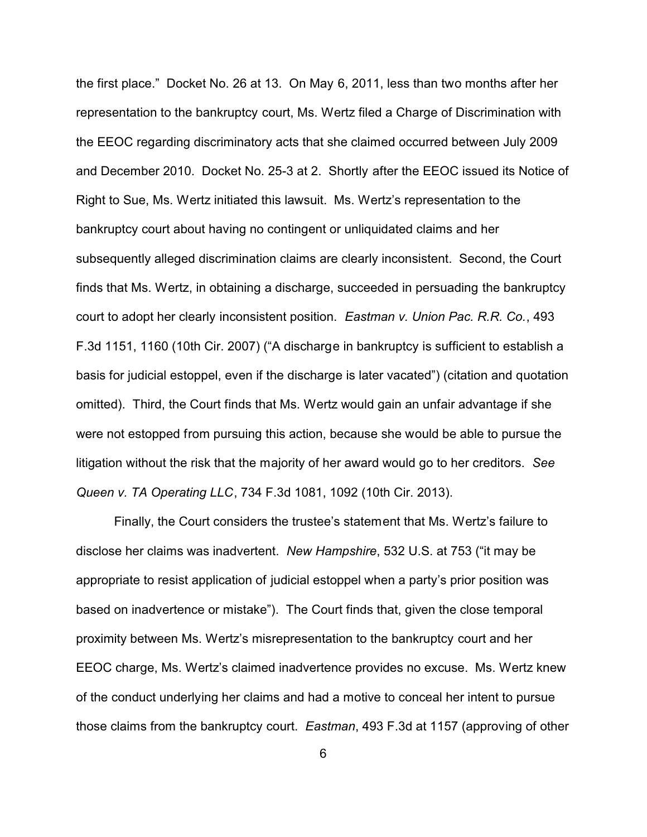the first place." Docket No. 26 at 13. On May 6, 2011, less than two months after her representation to the bankruptcy court, Ms. Wertz filed a Charge of Discrimination with the EEOC regarding discriminatory acts that she claimed occurred between July 2009 and December 2010. Docket No. 25-3 at 2. Shortly after the EEOC issued its Notice of Right to Sue, Ms. Wertz initiated this lawsuit. Ms. Wertz's representation to the bankruptcy court about having no contingent or unliquidated claims and her subsequently alleged discrimination claims are clearly inconsistent. Second, the Court finds that Ms. Wertz, in obtaining a discharge, succeeded in persuading the bankruptcy court to adopt her clearly inconsistent position. *Eastman v. Union Pac. R.R. Co.*, 493 F.3d 1151, 1160 (10th Cir. 2007) ("A discharge in bankruptcy is sufficient to establish a basis for judicial estoppel, even if the discharge is later vacated") (citation and quotation omitted). Third, the Court finds that Ms. Wertz would gain an unfair advantage if she were not estopped from pursuing this action, because she would be able to pursue the litigation without the risk that the majority of her award would go to her creditors. *See Queen v. TA Operating LLC*, 734 F.3d 1081, 1092 (10th Cir. 2013).

Finally, the Court considers the trustee's statement that Ms. Wertz's failure to disclose her claims was inadvertent. *New Hampshire*, 532 U.S. at 753 ("it may be appropriate to resist application of judicial estoppel when a party's prior position was based on inadvertence or mistake"). The Court finds that, given the close temporal proximity between Ms. Wertz's misrepresentation to the bankruptcy court and her EEOC charge, Ms. Wertz's claimed inadvertence provides no excuse. Ms. Wertz knew of the conduct underlying her claims and had a motive to conceal her intent to pursue those claims from the bankruptcy court. *Eastman*, 493 F.3d at 1157 (approving of other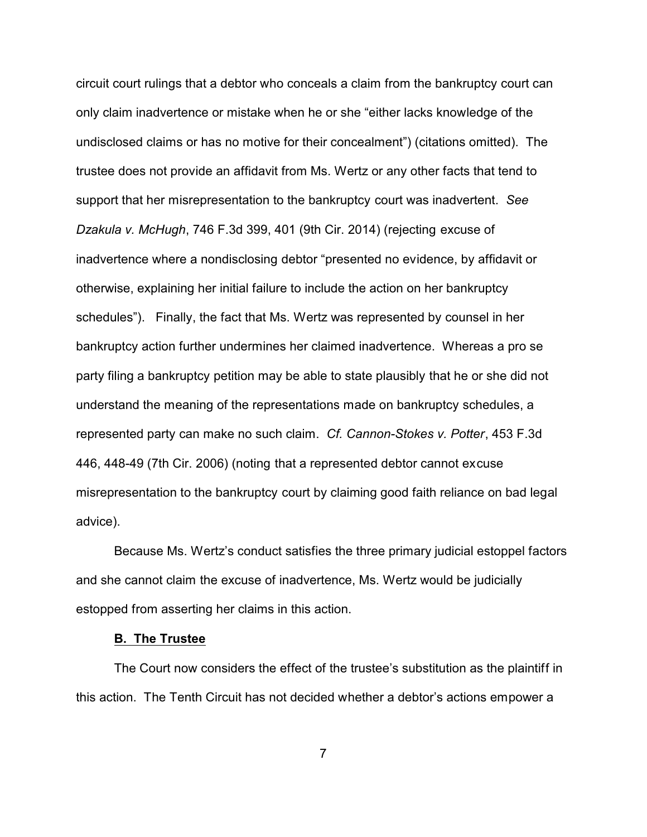circuit court rulings that a debtor who conceals a claim from the bankruptcy court can only claim inadvertence or mistake when he or she "either lacks knowledge of the undisclosed claims or has no motive for their concealment") (citations omitted). The trustee does not provide an affidavit from Ms. Wertz or any other facts that tend to support that her misrepresentation to the bankruptcy court was inadvertent. *See Dzakula v. McHugh*, 746 F.3d 399, 401 (9th Cir. 2014) (rejecting excuse of inadvertence where a nondisclosing debtor "presented no evidence, by affidavit or otherwise, explaining her initial failure to include the action on her bankruptcy schedules"). Finally, the fact that Ms. Wertz was represented by counsel in her bankruptcy action further undermines her claimed inadvertence. Whereas a pro se party filing a bankruptcy petition may be able to state plausibly that he or she did not understand the meaning of the representations made on bankruptcy schedules, a represented party can make no such claim. *Cf. Cannon-Stokes v. Potter*, 453 F.3d 446, 448-49 (7th Cir. 2006) (noting that a represented debtor cannot excuse misrepresentation to the bankruptcy court by claiming good faith reliance on bad legal advice).

Because Ms. Wertz's conduct satisfies the three primary judicial estoppel factors and she cannot claim the excuse of inadvertence, Ms. Wertz would be judicially estopped from asserting her claims in this action.

### **B. The Trustee**

The Court now considers the effect of the trustee's substitution as the plaintiff in this action. The Tenth Circuit has not decided whether a debtor's actions empower a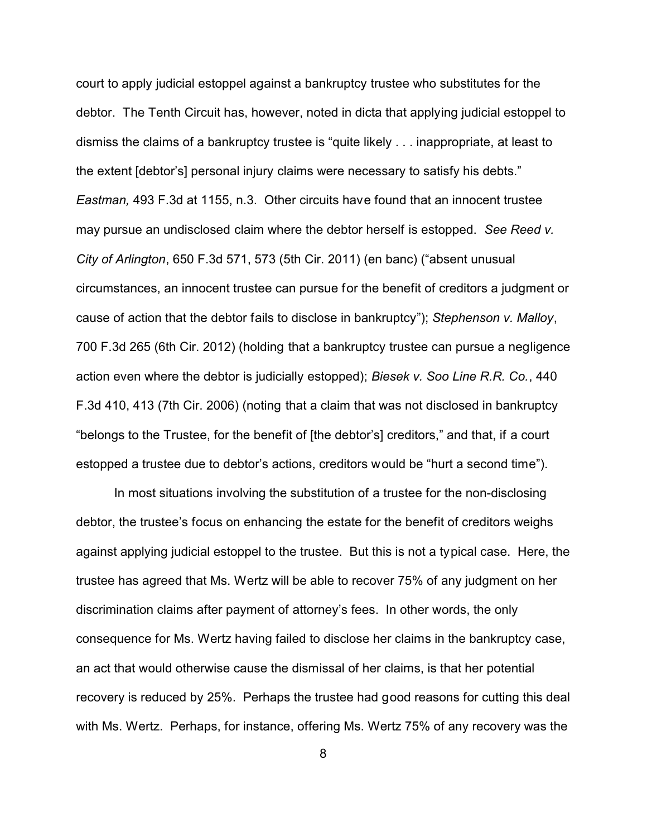court to apply judicial estoppel against a bankruptcy trustee who substitutes for the debtor. The Tenth Circuit has, however, noted in dicta that applying judicial estoppel to dismiss the claims of a bankruptcy trustee is "quite likely . . . inappropriate, at least to the extent [debtor's] personal injury claims were necessary to satisfy his debts." *Eastman,* 493 F.3d at 1155, n.3. Other circuits have found that an innocent trustee may pursue an undisclosed claim where the debtor herself is estopped. *See Reed v. City of Arlington*, 650 F.3d 571, 573 (5th Cir. 2011) (en banc) ("absent unusual circumstances, an innocent trustee can pursue for the benefit of creditors a judgment or cause of action that the debtor fails to disclose in bankruptcy"); *Stephenson v. Malloy*, 700 F.3d 265 (6th Cir. 2012) (holding that a bankruptcy trustee can pursue a negligence action even where the debtor is judicially estopped); *Biesek v. Soo Line R.R. Co.*, 440 F.3d 410, 413 (7th Cir. 2006) (noting that a claim that was not disclosed in bankruptcy "belongs to the Trustee, for the benefit of [the debtor's] creditors," and that, if a court estopped a trustee due to debtor's actions, creditors would be "hurt a second time").

In most situations involving the substitution of a trustee for the non-disclosing debtor, the trustee's focus on enhancing the estate for the benefit of creditors weighs against applying judicial estoppel to the trustee. But this is not a typical case. Here, the trustee has agreed that Ms. Wertz will be able to recover 75% of any judgment on her discrimination claims after payment of attorney's fees. In other words, the only consequence for Ms. Wertz having failed to disclose her claims in the bankruptcy case, an act that would otherwise cause the dismissal of her claims, is that her potential recovery is reduced by 25%. Perhaps the trustee had good reasons for cutting this deal with Ms. Wertz. Perhaps, for instance, offering Ms. Wertz 75% of any recovery was the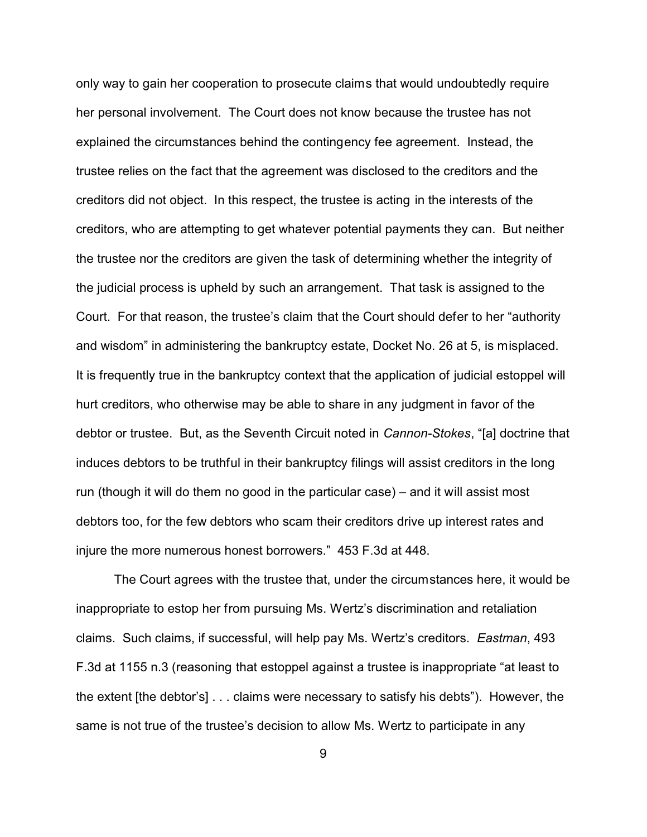only way to gain her cooperation to prosecute claims that would undoubtedly require her personal involvement. The Court does not know because the trustee has not explained the circumstances behind the contingency fee agreement. Instead, the trustee relies on the fact that the agreement was disclosed to the creditors and the creditors did not object. In this respect, the trustee is acting in the interests of the creditors, who are attempting to get whatever potential payments they can. But neither the trustee nor the creditors are given the task of determining whether the integrity of the judicial process is upheld by such an arrangement. That task is assigned to the Court. For that reason, the trustee's claim that the Court should defer to her "authority and wisdom" in administering the bankruptcy estate, Docket No. 26 at 5, is misplaced. It is frequently true in the bankruptcy context that the application of judicial estoppel will hurt creditors, who otherwise may be able to share in any judgment in favor of the debtor or trustee. But, as the Seventh Circuit noted in *Cannon-Stokes*, "[a] doctrine that induces debtors to be truthful in their bankruptcy filings will assist creditors in the long run (though it will do them no good in the particular case) – and it will assist most debtors too, for the few debtors who scam their creditors drive up interest rates and injure the more numerous honest borrowers." 453 F.3d at 448.

The Court agrees with the trustee that, under the circumstances here, it would be inappropriate to estop her from pursuing Ms. Wertz's discrimination and retaliation claims. Such claims, if successful, will help pay Ms. Wertz's creditors. *Eastman*, 493 F.3d at 1155 n.3 (reasoning that estoppel against a trustee is inappropriate "at least to the extent [the debtor's] . . . claims were necessary to satisfy his debts"). However, the same is not true of the trustee's decision to allow Ms. Wertz to participate in any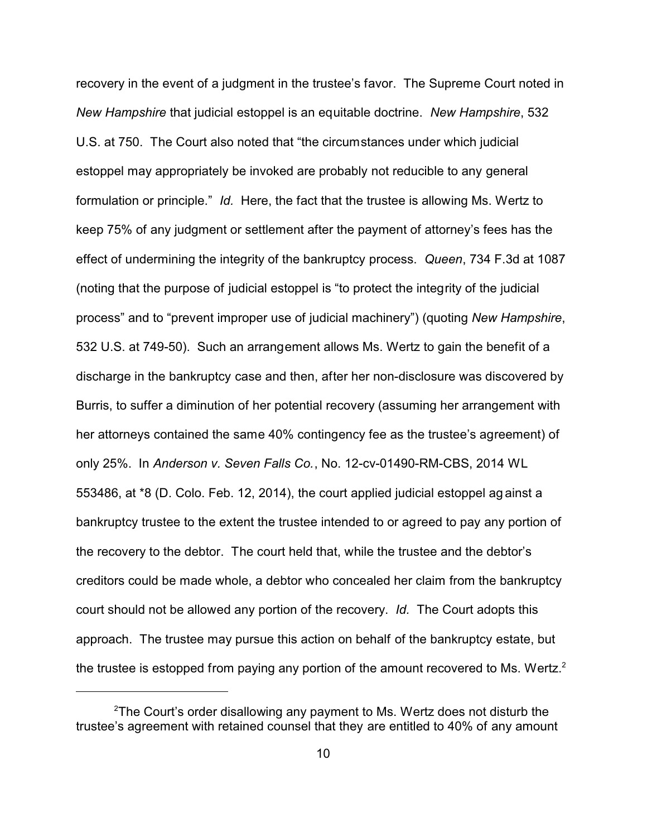recovery in the event of a judgment in the trustee's favor. The Supreme Court noted in *New Hampshire* that judicial estoppel is an equitable doctrine. *New Hampshire*, 532 U.S. at 750. The Court also noted that "the circumstances under which judicial estoppel may appropriately be invoked are probably not reducible to any general formulation or principle." *Id.* Here, the fact that the trustee is allowing Ms. Wertz to keep 75% of any judgment or settlement after the payment of attorney's fees has the effect of undermining the integrity of the bankruptcy process. *Queen*, 734 F.3d at 1087 (noting that the purpose of judicial estoppel is "to protect the integrity of the judicial process" and to "prevent improper use of judicial machinery") (quoting *New Hampshire*, 532 U.S. at 749-50). Such an arrangement allows Ms. Wertz to gain the benefit of a discharge in the bankruptcy case and then, after her non-disclosure was discovered by Burris, to suffer a diminution of her potential recovery (assuming her arrangement with her attorneys contained the same 40% contingency fee as the trustee's agreement) of only 25%. In *Anderson v. Seven Falls Co.*, No. 12-cv-01490-RM-CBS, 2014 WL 553486, at \*8 (D. Colo. Feb. 12, 2014), the court applied judicial estoppel ag ainst a bankruptcy trustee to the extent the trustee intended to or agreed to pay any portion of the recovery to the debtor. The court held that, while the trustee and the debtor's creditors could be made whole, a debtor who concealed her claim from the bankruptcy court should not be allowed any portion of the recovery. *Id.* The Court adopts this approach. The trustee may pursue this action on behalf of the bankruptcy estate, but the trustee is estopped from paying any portion of the amount recovered to Ms. Wertz.<sup>2</sup>

<sup>&</sup>lt;sup>2</sup>The Court's order disallowing any payment to Ms. Wertz does not disturb the trustee's agreement with retained counsel that they are entitled to 40% of any amount